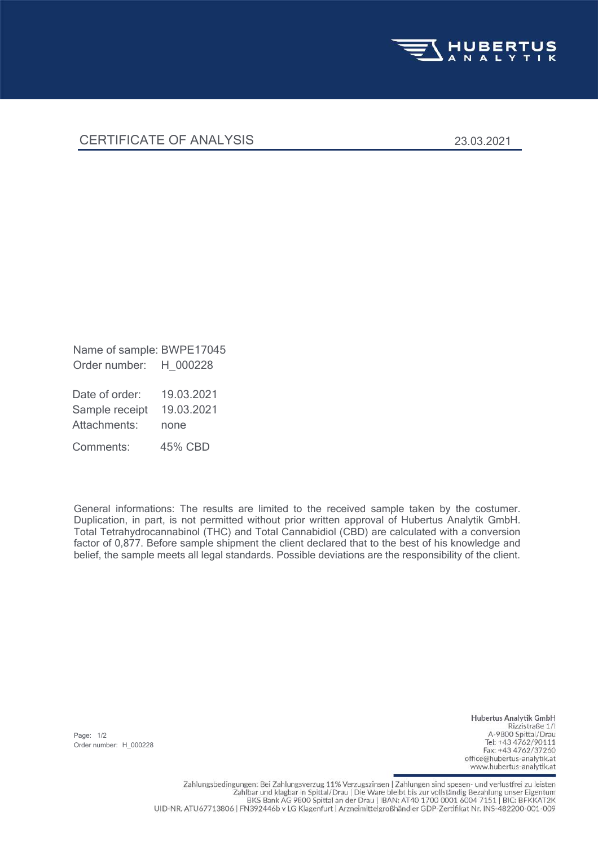

## CERTIFICATE OF ANALYSIS 23.03.2021

Order number: H\_000228 Name of sample: BWPE17045

Attachments: none Sample receipt 19.03.2021 Date of order: 19.03.2021

Comments: 45% CBD

General informations: The results are limited to the received sample taken by the costumer. Duplication, in part, is not permitted without prior written approval of Hubertus Analytik GmbH. Total Tetrahydrocannabinol (THC) and Total Cannabidiol (CBD) are calculated with a conversion factor of 0,877. Before sample shipment the client declared that to the best of his knowledge and belief, the sample meets all legal standards. Possible deviations are the responsibility of the client.

Page: 1/2 Order number: H\_000228

Hubertus Analytik GmbH Rizzistraße 1/1 A-9800 Spittal/Drau Tel: +43 4762/90111 Fax: +43 4762/37260 office@hubertus-analytik.at www.hubertus-analytik.at

Zahlungsbedingungen: Bei Zahlungsverzug 11% Verzugszinsen | Zahlungen sind spesen- und verlustfrei zu leisten Zahlbar und klagbar in Spittal/Drau | Die Ware bleibt bis zur vollständig Bezahlung unser Eigentum BKS Bank AG 9800 Spittal an der Drau | IBAN: AT40 1700 0001 6004 7151 | BIC: BFKKAT2K UID-NR. ATU67713806 | FN392446b v LG Klagenfurt | Arzneimittelgroßhändler GDP-Zertifikat Nr. INS-482200-001-009